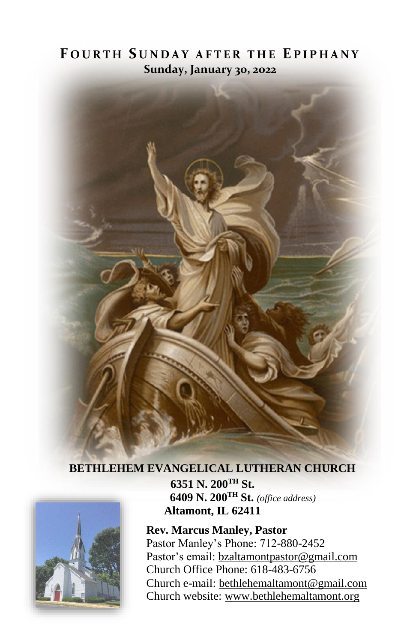# **F O U R T H S U N D A Y A F T E R T H E E P I P H A N Y Sunday, January 30, 2022**



## **BETHLEHEM EVANGELICAL LUTHERAN CHURCH**



**6351 N. 200TH St. 6409 N. 200TH St.** *(office address)* **Altamont, IL 62411**

**Rev. Marcus Manley, Pastor** Pastor Manley's Phone: 712-880-2452 Pastor's email[: bzaltamontpastor@gmail.com](mailto:bzaltamontpastor@gmail.com) Church Office Phone: 618-483-6756 Church e-mail: [bethlehemaltamont@gmail.com](mailto:bethlehemaltamont@gmail.com) Church website: [www.bethlehemaltamont.org](http://www.bethlehemaltamont.org/)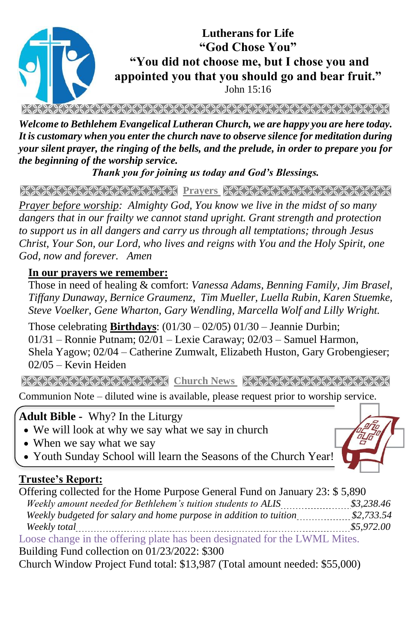

RAKA KARA BERKA KARA SERA SERANG KARA KARA SERAKAN KARA BERA

*Welcome to Bethlehem Evangelical Lutheran Church, we are happy you are here today. It is customary when you enter the church nave to observe silence for meditation during your silent prayer, the ringing of the bells, and the prelude, in order to prepare you for the beginning of the worship service.* 

*Thank you for joining us today and God's Blessings.*

**Prayers Andrew Marie Prayers Andrew Marie Andrew Marie Andrew** 

*Prayer before worship: Almighty God, You know we live in the midst of so many dangers that in our frailty we cannot stand upright. Grant strength and protection to support us in all dangers and carry us through all temptations; through Jesus Christ, Your Son, our Lord, who lives and reigns with You and the Holy Spirit, one God, now and forever. Amen*

#### **In our prayers we remember:**

Those in need of healing & comfort: *Vanessa Adams, Benning Family, Jim Brasel, Tiffany Dunaway, Bernice Graumenz, Tim Mueller, Luella Rubin, Karen Stuemke, Steve Voelker, Gene Wharton, Gary Wendling, Marcella Wolf and Lilly Wright.*

Those celebrating **Birthdays**: (01/30 – 02/05) 01/30 – Jeannie Durbin; 01/31 – Ronnie Putnam; 02/01 – Lexie Caraway; 02/03 – Samuel Harmon, Shela Yagow; 02/04 – Catherine Zumwalt, Elizabeth Huston, Gary Grobengieser; 02/05 – Kevin Heiden

**Church News Reception News Reception News** 

Communion Note – diluted wine is available, please request prior to worship service.

 **Adult Bible -** Why? In the Liturgy

- We will look at why we say what we say in church
- When we say what we say
- Youth Sunday School will learn the Seasons of the Church Year!

#### **Trustee's Report:**

Offering collected for the Home Purpose General Fund on January 23: \$ 5,890 *Weekly amount needed for Bethlehem's tuition students to ALIS*  $\frac{$3,238.46}{\ldots}$  *Weekly budgeted for salary and home purpose in addition to tuition \$2,733.54 Weekly total \$5,972.00* Loose change in the offering plate has been designated for the LWML Mites. Building Fund collection on 01/23/2022: \$300

Church Window Project Fund total: \$13,987 (Total amount needed: \$55,000)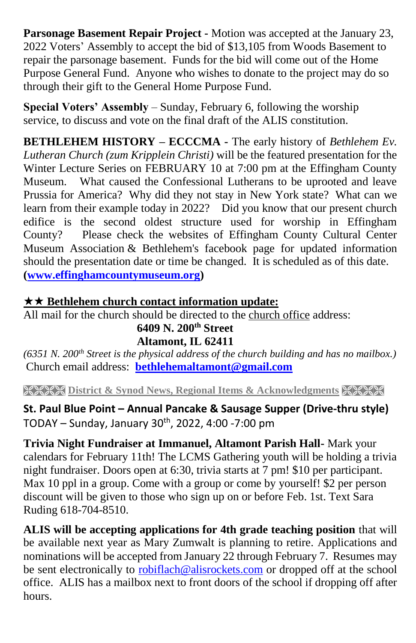**Parsonage Basement Repair Project -** Motion was accepted at the January 23, 2022 Voters' Assembly to accept the bid of \$13,105 from Woods Basement to repair the parsonage basement. Funds for the bid will come out of the Home Purpose General Fund. Anyone who wishes to donate to the project may do so through their gift to the General Home Purpose Fund.

**Special Voters' Assembly** – Sunday, February 6, following the worship service, to discuss and vote on the final draft of the ALIS constitution.

**BETHLEHEM HISTORY – ECCCMA -** The early history of *Bethlehem Ev. Lutheran Church (zum Kripplein Christi)* will be the featured presentation for the Winter Lecture Series on FEBRUARY 10 at 7:00 pm at the Effingham County Museum. What caused the Confessional Lutherans to be uprooted and leave Prussia for America? Why did they not stay in New York state? What can we learn from their example today in 2022? Did you know that our present church edifice is the second oldest structure used for worship in Effingham County? Please check the websites of Effingham County Cultural Center Museum Association & Bethlehem's facebook page for updated information should the presentation date or time be changed. It is scheduled as of this date. **[\(www.effinghamcountymuseum.org\)](http://www.effinghamcountymuseum.org/)**

## **★★ Bethlehem church contact information update:**

All mail for the church should be directed to the church office address:

#### **6409 N. 200th Street Altamont, IL 62411**

*(6351 N. 200th Street is the physical address of the church building and has no mailbox.)* Church email address: **[bethlehemaltamont@gmail.com](mailto:bethlehemaltamont@gmail.com)**

**EXECTS** District & Synod News, Regional Items & Acknowledgments XXXX

**St. Paul Blue Point – Annual Pancake & Sausage Supper (Drive-thru style)** TODAY – Sunday, January  $30^{th}$ , 2022, 4:00 -7:00 pm

**Trivia Night Fundraiser at Immanuel, Altamont Parish Hall-** Mark your calendars for February 11th! The LCMS Gathering youth will be holding a trivia night fundraiser. Doors open at 6:30, trivia starts at 7 pm! \$10 per participant. Max 10 ppl in a group. Come with a group or come by yourself! \$2 per person discount will be given to those who sign up on or before Feb. 1st. Text Sara Ruding 618-704-8510.

**ALIS will be accepting applications for 4th grade teaching position** that will be available next year as Mary Zumwalt is planning to retire. Applications and nominations will be accepted from January 22 through February 7. Resumes may be sent electronically to [robiflach@alisrockets.com](mailto:robiflach@alisrockets.com) or dropped off at the school office. ALIS has a mailbox next to front doors of the school if dropping off after hours.